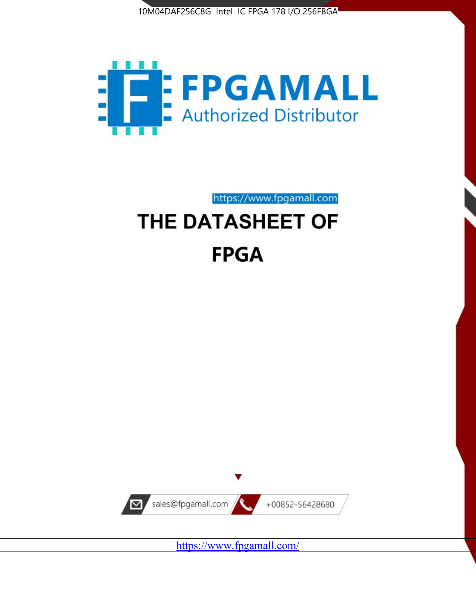



https://www.fpgamall.com THE DATASHEET OF

# **FPGA**



<https://www.fpgamall.com/>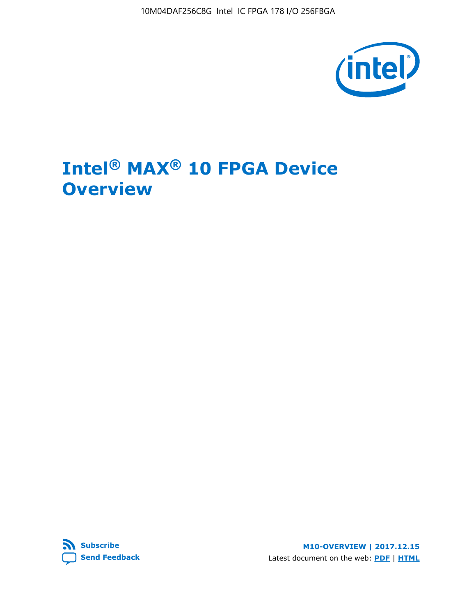10M04DAF256C8G Intel IC FPGA 178 I/O 256FBGA



# **Intel® MAX® 10 FPGA Device Overview**



**M10-OVERVIEW | 2017.12.15** Latest document on the web: **[PDF](https://www.altera.com/en_US/pdfs/literature/hb/max-10/m10_overview.pdf)** | **[HTML](https://www.altera.com/documentation/myt1396938463674.html)**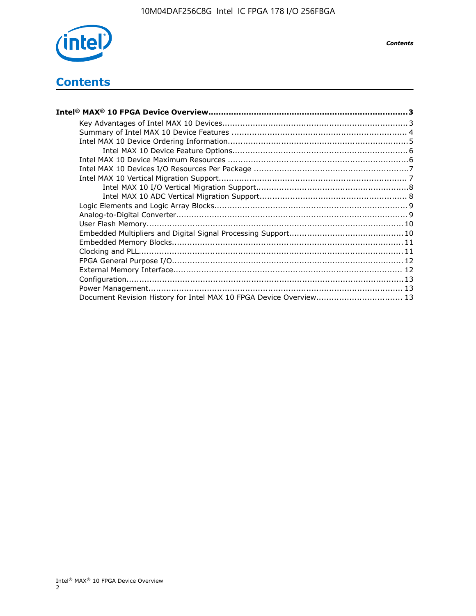

*Contents*

# **Contents**

| Intel® MAX® 10 FPGA Device Overview……………………………………………………………………………3  |  |
|--------------------------------------------------------------------|--|
|                                                                    |  |
|                                                                    |  |
|                                                                    |  |
|                                                                    |  |
|                                                                    |  |
|                                                                    |  |
|                                                                    |  |
|                                                                    |  |
|                                                                    |  |
|                                                                    |  |
|                                                                    |  |
|                                                                    |  |
|                                                                    |  |
|                                                                    |  |
|                                                                    |  |
|                                                                    |  |
|                                                                    |  |
|                                                                    |  |
|                                                                    |  |
| Document Revision History for Intel MAX 10 FPGA Device Overview 13 |  |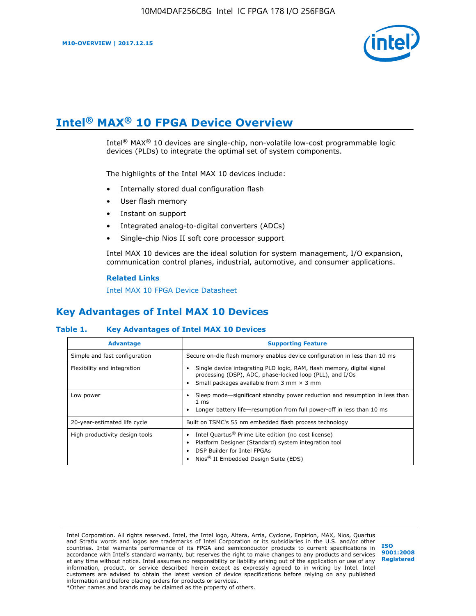

# **Intel® MAX® 10 FPGA Device Overview**

Intel<sup>®</sup> MAX<sup>®</sup> 10 devices are single-chip, non-volatile low-cost programmable logic devices (PLDs) to integrate the optimal set of system components.

The highlights of the Intel MAX 10 devices include:

- Internally stored dual configuration flash
- User flash memory
- Instant on support
- Integrated analog-to-digital converters (ADCs)
- Single-chip Nios II soft core processor support

Intel MAX 10 devices are the ideal solution for system management, I/O expansion, communication control planes, industrial, automotive, and consumer applications.

#### **Related Links**

[Intel MAX 10 FPGA Device Datasheet](https://www.altera.com/documentation/mcn1397700832153.html#mcn1397643748870)

## **Key Advantages of Intel MAX 10 Devices**

#### **Table 1. Key Advantages of Intel MAX 10 Devices**

| <b>Advantage</b>               | <b>Supporting Feature</b>                                                                                                                                                                                  |  |  |  |
|--------------------------------|------------------------------------------------------------------------------------------------------------------------------------------------------------------------------------------------------------|--|--|--|
| Simple and fast configuration  | Secure on-die flash memory enables device configuration in less than 10 ms                                                                                                                                 |  |  |  |
| Flexibility and integration    | Single device integrating PLD logic, RAM, flash memory, digital signal<br>processing (DSP), ADC, phase-locked loop (PLL), and I/Os<br>Small packages available from 3 mm $\times$ 3 mm                     |  |  |  |
| Low power                      | Sleep mode—significant standby power reduction and resumption in less than<br>$1 \text{ ms}$<br>Longer battery life-resumption from full power-off in less than 10 ms                                      |  |  |  |
| 20-year-estimated life cycle   | Built on TSMC's 55 nm embedded flash process technology                                                                                                                                                    |  |  |  |
| High productivity design tools | Intel Quartus <sup>®</sup> Prime Lite edition (no cost license)<br>Platform Designer (Standard) system integration tool<br>DSP Builder for Intel FPGAs<br>Nios <sup>®</sup> II Embedded Design Suite (EDS) |  |  |  |

Intel Corporation. All rights reserved. Intel, the Intel logo, Altera, Arria, Cyclone, Enpirion, MAX, Nios, Quartus and Stratix words and logos are trademarks of Intel Corporation or its subsidiaries in the U.S. and/or other countries. Intel warrants performance of its FPGA and semiconductor products to current specifications in accordance with Intel's standard warranty, but reserves the right to make changes to any products and services at any time without notice. Intel assumes no responsibility or liability arising out of the application or use of any information, product, or service described herein except as expressly agreed to in writing by Intel. Intel customers are advised to obtain the latest version of device specifications before relying on any published information and before placing orders for products or services. \*Other names and brands may be claimed as the property of others.

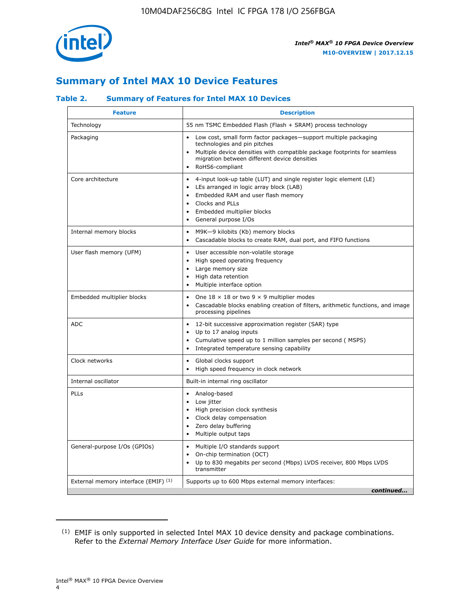

## **Summary of Intel MAX 10 Device Features**

#### **Table 2. Summary of Features for Intel MAX 10 Devices**

| <b>Feature</b>                       | <b>Description</b>                                                                                                                                                                                                                                                                            |
|--------------------------------------|-----------------------------------------------------------------------------------------------------------------------------------------------------------------------------------------------------------------------------------------------------------------------------------------------|
| Technology                           | 55 nm TSMC Embedded Flash (Flash + SRAM) process technology                                                                                                                                                                                                                                   |
| Packaging                            | Low cost, small form factor packages-support multiple packaging<br>technologies and pin pitches<br>Multiple device densities with compatible package footprints for seamless<br>migration between different device densities<br>RoHS6-compliant                                               |
| Core architecture                    | 4-input look-up table (LUT) and single register logic element (LE)<br>$\bullet$<br>LEs arranged in logic array block (LAB)<br>$\bullet$<br>Embedded RAM and user flash memory<br>$\bullet$<br>Clocks and PLLs<br>$\bullet$<br>Embedded multiplier blocks<br>General purpose I/Os<br>$\bullet$ |
| Internal memory blocks               | M9K-9 kilobits (Kb) memory blocks<br>$\bullet$<br>Cascadable blocks to create RAM, dual port, and FIFO functions<br>$\bullet$                                                                                                                                                                 |
| User flash memory (UFM)              | User accessible non-volatile storage<br>$\bullet$<br>High speed operating frequency<br>$\bullet$<br>Large memory size<br>High data retention<br>$\bullet$<br>Multiple interface option                                                                                                        |
| Embedded multiplier blocks           | One $18 \times 18$ or two 9 $\times$ 9 multiplier modes<br>$\bullet$<br>Cascadable blocks enabling creation of filters, arithmetic functions, and image<br>processing pipelines                                                                                                               |
| <b>ADC</b>                           | 12-bit successive approximation register (SAR) type<br>$\bullet$<br>Up to 17 analog inputs<br>$\bullet$<br>Cumulative speed up to 1 million samples per second (MSPS)<br>Integrated temperature sensing capability<br>$\bullet$                                                               |
| Clock networks                       | Global clocks support<br>$\bullet$<br>High speed frequency in clock network                                                                                                                                                                                                                   |
| Internal oscillator                  | Built-in internal ring oscillator                                                                                                                                                                                                                                                             |
| PLLs                                 | Analog-based<br>$\bullet$<br>Low jitter<br>High precision clock synthesis<br>$\bullet$<br>Clock delay compensation<br>$\bullet$<br>Zero delay buffering<br>٠<br>Multiple output taps<br>$\bullet$                                                                                             |
| General-purpose I/Os (GPIOs)         | Multiple I/O standards support<br>$\bullet$<br>On-chip termination (OCT)<br>٠<br>Up to 830 megabits per second (Mbps) LVDS receiver, 800 Mbps LVDS<br>transmitter                                                                                                                             |
| External memory interface (EMIF) (1) | Supports up to 600 Mbps external memory interfaces:<br>continued                                                                                                                                                                                                                              |
|                                      |                                                                                                                                                                                                                                                                                               |

<sup>(1)</sup> EMIF is only supported in selected Intel MAX 10 device density and package combinations. Refer to the *External Memory Interface User Guide* for more information.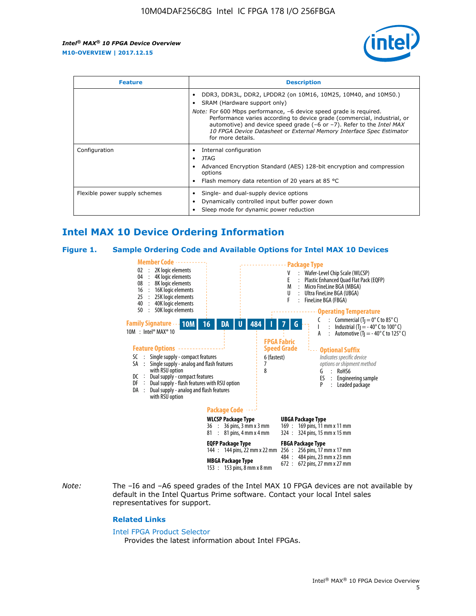

| <b>Feature</b>                | <b>Description</b>                                                                                                                                                                                                                                                                                                                                                                                                          |  |  |  |
|-------------------------------|-----------------------------------------------------------------------------------------------------------------------------------------------------------------------------------------------------------------------------------------------------------------------------------------------------------------------------------------------------------------------------------------------------------------------------|--|--|--|
|                               | DDR3, DDR3L, DDR2, LPDDR2 (on 10M16, 10M25, 10M40, and 10M50.)<br>SRAM (Hardware support only)<br><i>Note:</i> For 600 Mbps performance, -6 device speed grade is required.<br>Performance varies according to device grade (commercial, industrial, or<br>automotive) and device speed grade $(-6 \text{ or } -7)$ . Refer to the <i>Intel MAX</i><br>10 FPGA Device Datasheet or External Memory Interface Spec Estimator |  |  |  |
|                               | for more details.                                                                                                                                                                                                                                                                                                                                                                                                           |  |  |  |
| Configuration                 | Internal configuration<br>JTAG<br>٠<br>Advanced Encryption Standard (AES) 128-bit encryption and compression<br>options<br>Flash memory data retention of 20 years at 85 $^{\circ}$ C                                                                                                                                                                                                                                       |  |  |  |
| Flexible power supply schemes | Single- and dual-supply device options<br>Dynamically controlled input buffer power down<br>Sleep mode for dynamic power reduction                                                                                                                                                                                                                                                                                          |  |  |  |

## **Intel MAX 10 Device Ordering Information**

#### **Figure 1. Sample Ordering Code and Available Options for Intel MAX 10 Devices**



*Note:* The –I6 and –A6 speed grades of the Intel MAX 10 FPGA devices are not available by default in the Intel Quartus Prime software. Contact your local Intel sales representatives for support.

#### **Related Links**

#### [Intel FPGA Product Selector](http://www.altera.com/products/selector/psg-selector.html)

Provides the latest information about Intel FPGAs.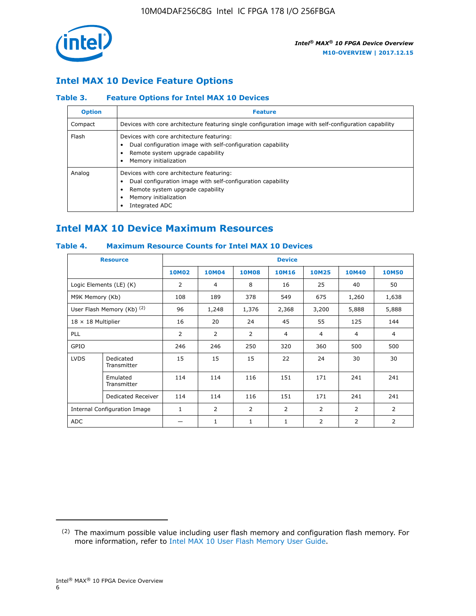

## **Intel MAX 10 Device Feature Options**

#### **Table 3. Feature Options for Intel MAX 10 Devices**

| <b>Option</b> | <b>Feature</b>                                                                                                                                                                          |
|---------------|-----------------------------------------------------------------------------------------------------------------------------------------------------------------------------------------|
| Compact       | Devices with core architecture featuring single configuration image with self-configuration capability                                                                                  |
| Flash         | Devices with core architecture featuring:<br>Dual configuration image with self-configuration capability<br>Remote system upgrade capability<br>Memory initialization                   |
| Analog        | Devices with core architecture featuring:<br>Dual configuration image with self-configuration capability<br>Remote system upgrade capability<br>Memory initialization<br>Integrated ADC |

## **Intel MAX 10 Device Maximum Resources**

#### **Table 4. Maximum Resource Counts for Intel MAX 10 Devices**

| <b>Resource</b>              |                            |                |              |              | <b>Device</b>  |                |              |                |
|------------------------------|----------------------------|----------------|--------------|--------------|----------------|----------------|--------------|----------------|
|                              |                            | <b>10M02</b>   | <b>10M04</b> | <b>10M08</b> | <b>10M16</b>   | <b>10M25</b>   | <b>10M40</b> | <b>10M50</b>   |
|                              | Logic Elements (LE) (K)    | $\overline{2}$ | 4            | 8            | 16             | 25             | 40           | 50             |
| M9K Memory (Kb)              |                            | 108            | 189          | 378          | 549            | 675            | 1,260        | 1,638          |
|                              | User Flash Memory (Kb) (2) | 96             | 1,248        | 1,376        | 2,368          | 3,200          | 5,888        | 5,888          |
| $18 \times 18$ Multiplier    |                            | 16             | 20           | 24           | 45             | 55             | 125          | 144            |
| <b>PLL</b>                   |                            | 2              | 2            | 2            | $\overline{4}$ | $\overline{4}$ | 4            | $\overline{4}$ |
| GPIO                         |                            | 246            | 246          | 250          | 320            | 360            | 500          | 500            |
| <b>LVDS</b>                  | Dedicated<br>Transmitter   | 15             | 15           | 15           | 22             | 24             | 30           | 30             |
|                              | Emulated<br>Transmitter    | 114            | 114          | 116          | 151            | 171            | 241          | 241            |
|                              | Dedicated Receiver         | 114            | 114          | 116          | 151            | 171            | 241          | 241            |
| Internal Configuration Image |                            | $\mathbf{1}$   | 2            | 2            | $\overline{2}$ | 2              | 2            | $\overline{2}$ |
| <b>ADC</b>                   |                            |                | 1            | 1            | $\mathbf{1}$   | 2              | 2            | 2              |

<sup>(2)</sup> The maximum possible value including user flash memory and configuration flash memory. For more information, refer to [Intel MAX 10 User Flash Memory User Guide](https://www.altera.com/documentation/vgo1395753117436.html#vgo1395811844282).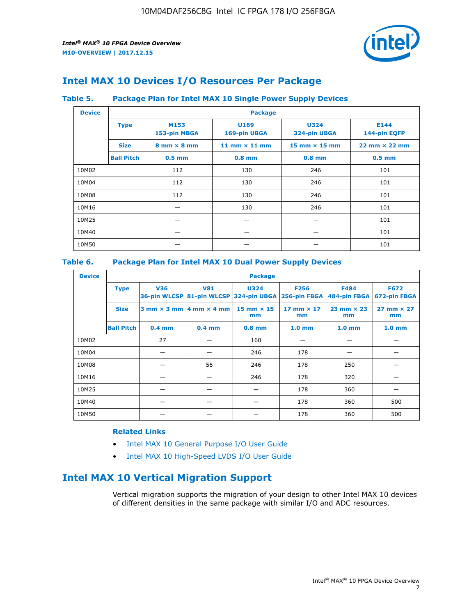

## **Intel MAX 10 Devices I/O Resources Per Package**

#### **Table 5. Package Plan for Intel MAX 10 Single Power Supply Devices**

| <b>Device</b> |                   | <b>Package</b>                     |                      |                             |                                      |  |  |  |  |
|---------------|-------------------|------------------------------------|----------------------|-----------------------------|--------------------------------------|--|--|--|--|
|               | <b>Type</b>       | M153<br>153-pin MBGA               | U169<br>169-pin UBGA | <b>U324</b><br>324-pin UBGA | E144<br>144-pin EQFP                 |  |  |  |  |
|               | <b>Size</b>       | $8 \text{ mm} \times 8 \text{ mm}$ | 11 mm $\times$ 11 mm | $15$ mm $\times$ 15 mm      | $22 \text{ mm} \times 22 \text{ mm}$ |  |  |  |  |
|               | <b>Ball Pitch</b> | $0.5$ mm                           | $0.8$ mm             | $0.8$ mm                    | $0.5$ mm                             |  |  |  |  |
| 10M02         |                   | 112                                | 130                  | 246                         | 101                                  |  |  |  |  |
| 10M04         |                   | 112                                | 130                  | 246                         | 101                                  |  |  |  |  |
| 10M08         |                   | 112                                | 130                  | 246                         | 101                                  |  |  |  |  |
| 10M16         |                   |                                    | 130                  | 246                         | 101                                  |  |  |  |  |
| 10M25         |                   |                                    |                      |                             | 101                                  |  |  |  |  |
| 10M40         |                   |                                    |                      |                             | 101                                  |  |  |  |  |
| 10M50         |                   |                                    |                      |                             | 101                                  |  |  |  |  |

#### **Table 6. Package Plan for Intel MAX 10 Dual Power Supply Devices**

| <b>Device</b> |                   | <b>Package</b> |                                                 |                                                                    |                           |                           |                             |  |  |
|---------------|-------------------|----------------|-------------------------------------------------|--------------------------------------------------------------------|---------------------------|---------------------------|-----------------------------|--|--|
|               | <b>Type</b>       | <b>V36</b>     | <b>V81</b>                                      | <b>U324</b><br>36-pin WLCSP 81-pin WLCSP 324-pin UBGA 256-pin FBGA | <b>F256</b>               | F484<br>484-pin FBGA      | <b>F672</b><br>672-pin FBGA |  |  |
|               | <b>Size</b>       |                | $3$ mm $\times$ 3 mm $\vert$ 4 mm $\times$ 4 mm | $15$ mm $\times$ 15<br>mm                                          | $17$ mm $\times$ 17<br>mm | $23$ mm $\times$ 23<br>mm | $27$ mm $\times$ 27<br>mm   |  |  |
|               | <b>Ball Pitch</b> | $0.4$ mm       | $0.4$ mm                                        | $0.8$ mm                                                           | 1.0 <sub>mm</sub>         | 1.0 <sub>mm</sub>         | 1.0 <sub>mm</sub>           |  |  |
| 10M02         |                   | 27             |                                                 | 160                                                                |                           |                           |                             |  |  |
| 10M04         |                   |                |                                                 | 246                                                                | 178                       |                           |                             |  |  |
| 10M08         |                   |                | 56                                              | 246                                                                | 178                       | 250                       |                             |  |  |
| 10M16         |                   |                |                                                 | 246                                                                | 178                       | 320                       |                             |  |  |
| 10M25         |                   |                |                                                 |                                                                    | 178                       | 360                       |                             |  |  |
| 10M40         |                   |                |                                                 |                                                                    | 178                       | 360                       | 500                         |  |  |
| 10M50         |                   |                |                                                 |                                                                    | 178                       | 360                       | 500                         |  |  |

#### **Related Links**

- [Intel MAX 10 General Purpose I/O User Guide](https://www.altera.com/documentation/sam1393999966669.html#sam1394000084476)
- [Intel MAX 10 High-Speed LVDS I/O User Guide](https://www.altera.com/documentation/sam1394433606063.html#sam1394433911642)

## **Intel MAX 10 Vertical Migration Support**

Vertical migration supports the migration of your design to other Intel MAX 10 devices of different densities in the same package with similar I/O and ADC resources.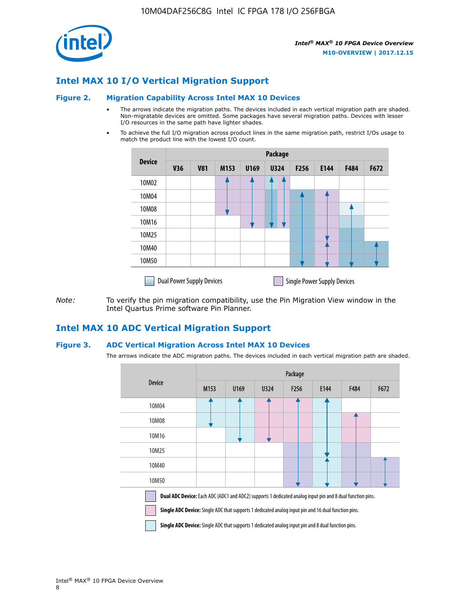

## **Intel MAX 10 I/O Vertical Migration Support**

#### **Figure 2. Migration Capability Across Intel MAX 10 Devices**

- The arrows indicate the migration paths. The devices included in each vertical migration path are shaded. Non-migratable devices are omitted. Some packages have several migration paths. Devices with lesser I/O resources in the same path have lighter shades.
- To achieve the full I/O migration across product lines in the same migration path, restrict I/Os usage to match the product line with the lowest I/O count.

|               | <b>Package</b>                   |            |      |      |             |                  |                                    |      |      |  |
|---------------|----------------------------------|------------|------|------|-------------|------------------|------------------------------------|------|------|--|
| <b>Device</b> | <b>V36</b>                       | <b>V81</b> | M153 | U169 | <b>U324</b> | F <sub>256</sub> | E144                               | F484 | F672 |  |
| 10M02         |                                  |            |      |      | 7           |                  |                                    |      |      |  |
| 10M04         |                                  |            |      |      |             |                  |                                    |      |      |  |
| 10M08         |                                  |            |      |      |             |                  |                                    |      |      |  |
| 10M16         |                                  |            |      |      |             |                  |                                    |      |      |  |
| 10M25         |                                  |            |      |      |             |                  |                                    |      |      |  |
| 10M40         |                                  |            |      |      |             |                  |                                    |      |      |  |
| 10M50         |                                  |            |      |      |             |                  |                                    |      |      |  |
|               | <b>Dual Power Supply Devices</b> |            |      |      |             |                  | <b>Single Power Supply Devices</b> |      |      |  |

*Note:* To verify the pin migration compatibility, use the Pin Migration View window in the Intel Quartus Prime software Pin Planner.

## **Intel MAX 10 ADC Vertical Migration Support**

#### **Figure 3. ADC Vertical Migration Across Intel MAX 10 Devices**

The arrows indicate the ADC migration paths. The devices included in each vertical migration path are shaded.

|                                                                                                                                                                                                                         | Package          |      |      |                  |      |             |      |  |  |
|-------------------------------------------------------------------------------------------------------------------------------------------------------------------------------------------------------------------------|------------------|------|------|------------------|------|-------------|------|--|--|
| <b>Device</b>                                                                                                                                                                                                           | M <sub>153</sub> | U169 | U324 | F <sub>256</sub> | E144 | <b>F484</b> | F672 |  |  |
| 10M04                                                                                                                                                                                                                   |                  |      |      |                  |      |             |      |  |  |
| 10M08                                                                                                                                                                                                                   |                  |      |      |                  |      |             |      |  |  |
| 10M16                                                                                                                                                                                                                   |                  |      |      |                  |      |             |      |  |  |
| 10M25                                                                                                                                                                                                                   |                  |      |      |                  |      |             |      |  |  |
| 10M40                                                                                                                                                                                                                   |                  |      |      |                  |      |             |      |  |  |
| 10M50                                                                                                                                                                                                                   |                  |      |      |                  |      |             |      |  |  |
| <b>Dual ADC Device:</b> Each ADC (ADC1 and ADC2) supports 1 dedicated analog input pin and 8 dual function pins.<br>Single ADC Device: Single ADC that supports 1 dedicated analog input pin and 16 dual function pins. |                  |      |      |                  |      |             |      |  |  |

**Single ADC Device:** Single ADC that supports 1 dedicated analog input pin and 8 dual function pins.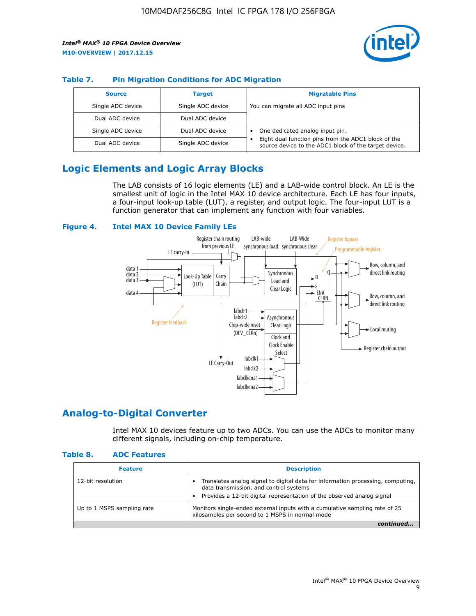

#### **Table 7. Pin Migration Conditions for ADC Migration**

| <b>Source</b>     | <b>Target</b>     | <b>Migratable Pins</b>                                                                                            |
|-------------------|-------------------|-------------------------------------------------------------------------------------------------------------------|
| Single ADC device | Single ADC device | You can migrate all ADC input pins                                                                                |
| Dual ADC device   | Dual ADC device   |                                                                                                                   |
| Single ADC device | Dual ADC device   | One dedicated analog input pin.                                                                                   |
| Dual ADC device   | Single ADC device | Eight dual function pins from the ADC1 block of the<br>٠<br>source device to the ADC1 block of the target device. |

## **Logic Elements and Logic Array Blocks**

The LAB consists of 16 logic elements (LE) and a LAB-wide control block. An LE is the smallest unit of logic in the Intel MAX 10 device architecture. Each LE has four inputs, a four-input look-up table (LUT), a register, and output logic. The four-input LUT is a function generator that can implement any function with four variables.

#### **Figure 4. Intel MAX 10 Device Family LEs**



## **Analog-to-Digital Converter**

Intel MAX 10 devices feature up to two ADCs. You can use the ADCs to monitor many different signals, including on-chip temperature.

#### **Table 8. ADC Features**

| <b>Feature</b>             | <b>Description</b>                                                                                                                                                                                  |
|----------------------------|-----------------------------------------------------------------------------------------------------------------------------------------------------------------------------------------------------|
| 12-bit resolution          | Translates analog signal to digital data for information processing, computing,<br>data transmission, and control systems<br>Provides a 12-bit digital representation of the observed analog signal |
| Up to 1 MSPS sampling rate | Monitors single-ended external inputs with a cumulative sampling rate of 25<br>kilosamples per second to 1 MSPS in normal mode                                                                      |
|                            |                                                                                                                                                                                                     |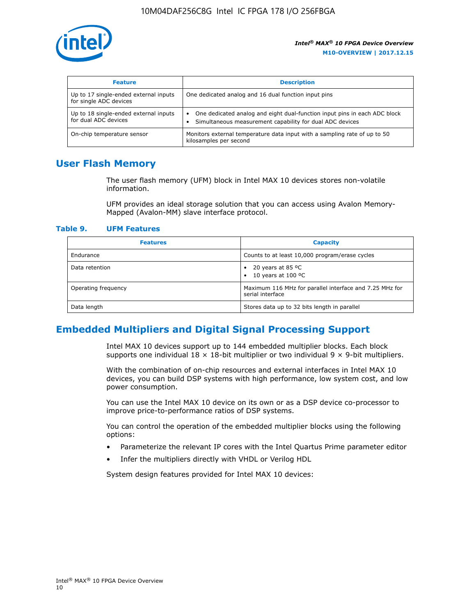

| <b>Feature</b>                                                  | <b>Description</b>                                                                                                                         |
|-----------------------------------------------------------------|--------------------------------------------------------------------------------------------------------------------------------------------|
| Up to 17 single-ended external inputs<br>for single ADC devices | One dedicated analog and 16 dual function input pins                                                                                       |
| Up to 18 single-ended external inputs<br>for dual ADC devices   | One dedicated analog and eight dual-function input pins in each ADC block<br>٠<br>Simultaneous measurement capability for dual ADC devices |
| On-chip temperature sensor                                      | Monitors external temperature data input with a sampling rate of up to 50<br>kilosamples per second                                        |

## **User Flash Memory**

The user flash memory (UFM) block in Intel MAX 10 devices stores non-volatile information.

UFM provides an ideal storage solution that you can access using Avalon Memory-Mapped (Avalon-MM) slave interface protocol.

#### **Table 9. UFM Features**

| <b>Features</b>     | <b>Capacity</b>                                                             |
|---------------------|-----------------------------------------------------------------------------|
| Endurance           | Counts to at least 10,000 program/erase cycles                              |
| Data retention      | 20 years at 85 °C<br>٠<br>10 years at 100 °C<br>$\bullet$                   |
| Operating frequency | Maximum 116 MHz for parallel interface and 7.25 MHz for<br>serial interface |
| Data length         | Stores data up to 32 bits length in parallel                                |

## **Embedded Multipliers and Digital Signal Processing Support**

Intel MAX 10 devices support up to 144 embedded multiplier blocks. Each block supports one individual  $18 \times 18$ -bit multiplier or two individual  $9 \times 9$ -bit multipliers.

With the combination of on-chip resources and external interfaces in Intel MAX 10 devices, you can build DSP systems with high performance, low system cost, and low power consumption.

You can use the Intel MAX 10 device on its own or as a DSP device co-processor to improve price-to-performance ratios of DSP systems.

You can control the operation of the embedded multiplier blocks using the following options:

- Parameterize the relevant IP cores with the Intel Quartus Prime parameter editor
- Infer the multipliers directly with VHDL or Verilog HDL

System design features provided for Intel MAX 10 devices: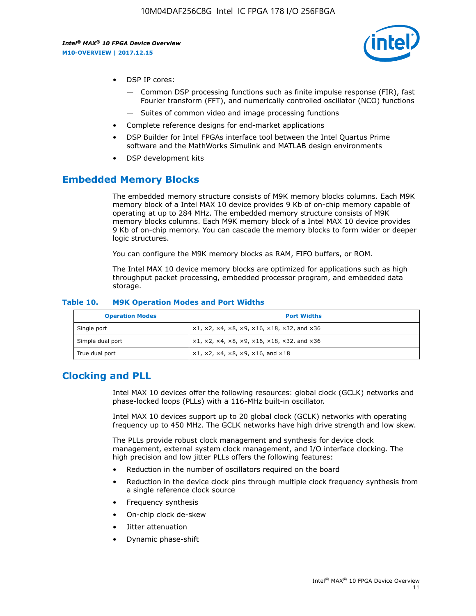

- DSP IP cores:
	- Common DSP processing functions such as finite impulse response (FIR), fast Fourier transform (FFT), and numerically controlled oscillator (NCO) functions
	- Suites of common video and image processing functions
- Complete reference designs for end-market applications
- DSP Builder for Intel FPGAs interface tool between the Intel Quartus Prime software and the MathWorks Simulink and MATLAB design environments
- DSP development kits

## **Embedded Memory Blocks**

The embedded memory structure consists of M9K memory blocks columns. Each M9K memory block of a Intel MAX 10 device provides 9 Kb of on-chip memory capable of operating at up to 284 MHz. The embedded memory structure consists of M9K memory blocks columns. Each M9K memory block of a Intel MAX 10 device provides 9 Kb of on-chip memory. You can cascade the memory blocks to form wider or deeper logic structures.

You can configure the M9K memory blocks as RAM, FIFO buffers, or ROM.

The Intel MAX 10 device memory blocks are optimized for applications such as high throughput packet processing, embedded processor program, and embedded data storage.

| <b>Operation Modes</b> | <b>Port Widths</b>                                                            |
|------------------------|-------------------------------------------------------------------------------|
| Single port            | $x1, x2, x4, x8, x9, x16, x18, x32, and x36$                                  |
| Simple dual port       | $x1, x2, x4, x8, x9, x16, x18, x32, and x36$                                  |
| True dual port         | $\times1, \times2, \times4, \times8, \times9, \times16, \text{and } \times18$ |

#### **Table 10. M9K Operation Modes and Port Widths**

## **Clocking and PLL**

Intel MAX 10 devices offer the following resources: global clock (GCLK) networks and phase-locked loops (PLLs) with a 116-MHz built-in oscillator.

Intel MAX 10 devices support up to 20 global clock (GCLK) networks with operating frequency up to 450 MHz. The GCLK networks have high drive strength and low skew.

The PLLs provide robust clock management and synthesis for device clock management, external system clock management, and I/O interface clocking. The high precision and low jitter PLLs offers the following features:

- Reduction in the number of oscillators required on the board
- Reduction in the device clock pins through multiple clock frequency synthesis from a single reference clock source
- Frequency synthesis
- On-chip clock de-skew
- Jitter attenuation
- Dynamic phase-shift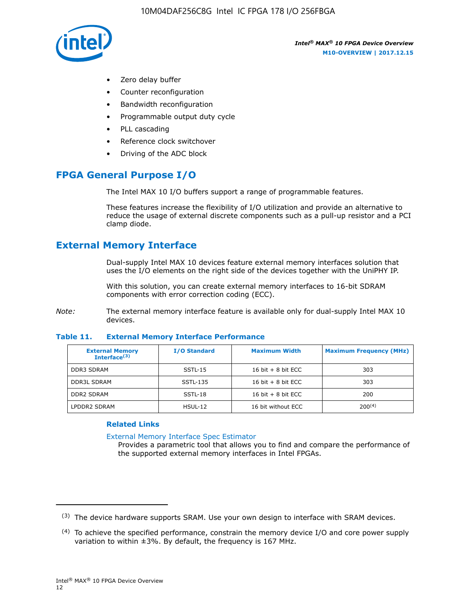

- Zero delay buffer
- Counter reconfiguration
- Bandwidth reconfiguration
- Programmable output duty cycle
- PLL cascading
- Reference clock switchover
- Driving of the ADC block

## **FPGA General Purpose I/O**

The Intel MAX 10 I/O buffers support a range of programmable features.

These features increase the flexibility of I/O utilization and provide an alternative to reduce the usage of external discrete components such as a pull-up resistor and a PCI clamp diode.

## **External Memory Interface**

Dual-supply Intel MAX 10 devices feature external memory interfaces solution that uses the I/O elements on the right side of the devices together with the UniPHY IP.

With this solution, you can create external memory interfaces to 16-bit SDRAM components with error correction coding (ECC).

*Note:* The external memory interface feature is available only for dual-supply Intel MAX 10 devices.

#### **Table 11. External Memory Interface Performance**

| <b>External Memory</b><br>Interface $(3)$ | <b>I/O Standard</b> | <b>Maximum Width</b> | <b>Maximum Frequency (MHz)</b> |
|-------------------------------------------|---------------------|----------------------|--------------------------------|
| <b>DDR3 SDRAM</b>                         | SSTL-15             | 16 bit $+8$ bit ECC  | 303                            |
| <b>DDR3L SDRAM</b>                        | SSTL-135            | 16 bit $+8$ bit ECC  | 303                            |
| <b>DDR2 SDRAM</b>                         | SSTL-18             | 16 bit $+8$ bit ECC  | 200                            |
| LPDDR2 SDRAM                              | $H$ SUL-12          | 16 bit without ECC   | 200(4)                         |

#### **Related Links**

[External Memory Interface Spec Estimator](http://www.altera.com/technology/memory/estimator/mem-emif-index.html)

Provides a parametric tool that allows you to find and compare the performance of the supported external memory interfaces in Intel FPGAs.

 $(3)$  The device hardware supports SRAM. Use your own design to interface with SRAM devices.

 $(4)$  To achieve the specified performance, constrain the memory device I/O and core power supply variation to within ±3%. By default, the frequency is 167 MHz.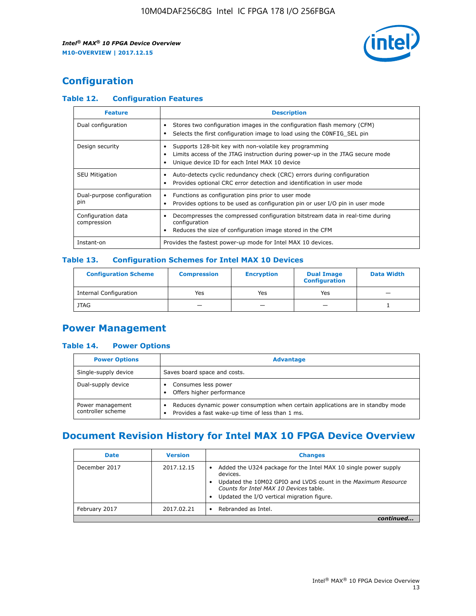

## **Configuration**

#### **Table 12. Configuration Features**

| <b>Feature</b>                    | <b>Description</b>                                                                                                                                                                       |
|-----------------------------------|------------------------------------------------------------------------------------------------------------------------------------------------------------------------------------------|
| Dual configuration                | Stores two configuration images in the configuration flash memory (CFM)<br>Selects the first configuration image to load using the CONFIG SEL pin                                        |
| Design security                   | Supports 128-bit key with non-volatile key programming<br>Limits access of the JTAG instruction during power-up in the JTAG secure mode<br>Unique device ID for each Intel MAX 10 device |
| <b>SEU Mitigation</b>             | Auto-detects cyclic redundancy check (CRC) errors during configuration<br>Provides optional CRC error detection and identification in user mode                                          |
| Dual-purpose configuration<br>pin | Functions as configuration pins prior to user mode<br>Provides options to be used as configuration pin or user I/O pin in user mode                                                      |
| Configuration data<br>compression | Decompresses the compressed configuration bitstream data in real-time during<br>configuration<br>Reduces the size of configuration image stored in the CFM                               |
| Instant-on                        | Provides the fastest power-up mode for Intel MAX 10 devices.                                                                                                                             |

#### **Table 13. Configuration Schemes for Intel MAX 10 Devices**

| <b>Configuration Scheme</b> | <b>Compression</b> | <b>Encryption</b> | <b>Dual Image</b><br><b>Configuration</b> | <b>Data Width</b> |
|-----------------------------|--------------------|-------------------|-------------------------------------------|-------------------|
| Internal Configuration      | Yes                | Yes               | Yes                                       |                   |
| <b>JTAG</b>                 | _                  |                   | -                                         |                   |

## **Power Management**

#### **Table 14. Power Options**

| <b>Power Options</b>                  | <b>Advantage</b>                                                                                                                        |  |
|---------------------------------------|-----------------------------------------------------------------------------------------------------------------------------------------|--|
| Single-supply device                  | Saves board space and costs.                                                                                                            |  |
| Dual-supply device                    | Consumes less power<br>Offers higher performance<br>$\bullet$                                                                           |  |
| Power management<br>controller scheme | Reduces dynamic power consumption when certain applications are in standby mode<br>Provides a fast wake-up time of less than 1 ms.<br>٠ |  |

## **Document Revision History for Intel MAX 10 FPGA Device Overview**

| <b>Date</b>   | <b>Version</b> | <b>Changes</b>                                                                                                                                                                                                                       |
|---------------|----------------|--------------------------------------------------------------------------------------------------------------------------------------------------------------------------------------------------------------------------------------|
| December 2017 | 2017.12.15     | Added the U324 package for the Intel MAX 10 single power supply<br>devices.<br>Updated the 10M02 GPIO and LVDS count in the Maximum Resource<br>Counts for Intel MAX 10 Devices table.<br>Updated the I/O vertical migration figure. |
| February 2017 | 2017.02.21     | Rebranded as Intel.                                                                                                                                                                                                                  |
|               |                |                                                                                                                                                                                                                                      |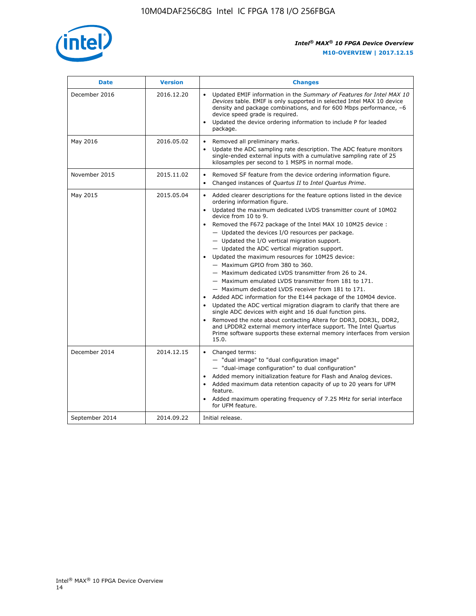

| <b>Date</b>    | <b>Version</b> | <b>Changes</b>                                                                                                                                                                                                                                                                                                                                                                                                                                                                                                                                                                                                                                                                                                                                                                                                                                                                                                                                                                                                                                                                                                  |  |
|----------------|----------------|-----------------------------------------------------------------------------------------------------------------------------------------------------------------------------------------------------------------------------------------------------------------------------------------------------------------------------------------------------------------------------------------------------------------------------------------------------------------------------------------------------------------------------------------------------------------------------------------------------------------------------------------------------------------------------------------------------------------------------------------------------------------------------------------------------------------------------------------------------------------------------------------------------------------------------------------------------------------------------------------------------------------------------------------------------------------------------------------------------------------|--|
| December 2016  | 2016.12.20     | • Updated EMIF information in the Summary of Features for Intel MAX 10<br>Devices table. EMIF is only supported in selected Intel MAX 10 device<br>density and package combinations, and for 600 Mbps performance, -6<br>device speed grade is required.<br>Updated the device ordering information to include P for leaded<br>package.                                                                                                                                                                                                                                                                                                                                                                                                                                                                                                                                                                                                                                                                                                                                                                         |  |
| May 2016       | 2016.05.02     | Removed all preliminary marks.<br>Update the ADC sampling rate description. The ADC feature monitors<br>single-ended external inputs with a cumulative sampling rate of 25<br>kilosamples per second to 1 MSPS in normal mode.                                                                                                                                                                                                                                                                                                                                                                                                                                                                                                                                                                                                                                                                                                                                                                                                                                                                                  |  |
| November 2015  | 2015.11.02     | Removed SF feature from the device ordering information figure.<br>$\bullet$<br>Changed instances of Quartus II to Intel Quartus Prime.<br>$\bullet$                                                                                                                                                                                                                                                                                                                                                                                                                                                                                                                                                                                                                                                                                                                                                                                                                                                                                                                                                            |  |
| May 2015       | 2015.05.04     | Added clearer descriptions for the feature options listed in the device<br>ordering information figure.<br>Updated the maximum dedicated LVDS transmitter count of 10M02<br>device from 10 to 9.<br>Removed the F672 package of the Intel MAX 10 10M25 device :<br>- Updated the devices I/O resources per package.<br>- Updated the I/O vertical migration support.<br>- Updated the ADC vertical migration support.<br>Updated the maximum resources for 10M25 device:<br>- Maximum GPIO from 380 to 360.<br>- Maximum dedicated LVDS transmitter from 26 to 24.<br>- Maximum emulated LVDS transmitter from 181 to 171.<br>- Maximum dedicated LVDS receiver from 181 to 171.<br>Added ADC information for the E144 package of the 10M04 device.<br>Updated the ADC vertical migration diagram to clarify that there are<br>single ADC devices with eight and 16 dual function pins.<br>Removed the note about contacting Altera for DDR3, DDR3L, DDR2,<br>and LPDDR2 external memory interface support. The Intel Quartus<br>Prime software supports these external memory interfaces from version<br>15.0. |  |
| December 2014  | 2014.12.15     | Changed terms:<br>- "dual image" to "dual configuration image"<br>- "dual-image configuration" to dual configuration"<br>Added memory initialization feature for Flash and Analog devices.<br>Added maximum data retention capacity of up to 20 years for UFM<br>feature.<br>Added maximum operating frequency of 7.25 MHz for serial interface<br>for UFM feature.                                                                                                                                                                                                                                                                                                                                                                                                                                                                                                                                                                                                                                                                                                                                             |  |
| September 2014 | 2014.09.22     | Initial release.                                                                                                                                                                                                                                                                                                                                                                                                                                                                                                                                                                                                                                                                                                                                                                                                                                                                                                                                                                                                                                                                                                |  |